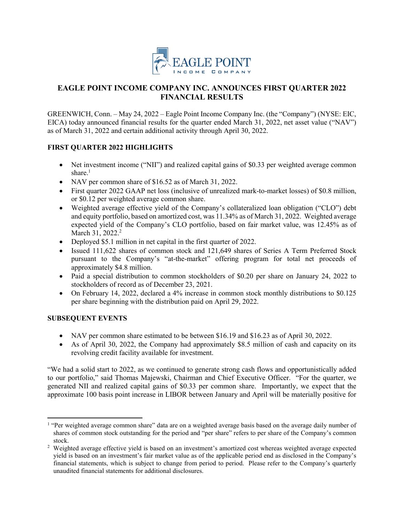

# **EAGLE POINT INCOME COMPANY INC. ANNOUNCES FIRST QUARTER 2022 FINANCIAL RESULTS**

GREENWICH, Conn. – May 24, 2022 – Eagle Point Income Company Inc. (the "Company") (NYSE: EIC, EICA) today announced financial results for the quarter ended March 31, 2022, net asset value ("NAV") as of March 31, 2022 and certain additional activity through April 30, 2022.

# **FIRST QUARTER 2022 HIGHLIGHTS**

- Net investment income ("NII") and realized capital gains of \$0.33 per weighted average common share.<sup>1</sup>
- NAV per common share of \$16.52 as of March 31, 2022.
- First quarter 2022 GAAP net loss (inclusive of unrealized mark-to-market losses) of \$0.8 million, or \$0.12 per weighted average common share.
- Weighted average effective yield of the Company's collateralized loan obligation ("CLO") debt and equity portfolio, based on amortized cost, was 11.34% as of March 31, 2022. Weighted average expected yield of the Company's CLO portfolio, based on fair market value, was 12.45% as of March 31, 2022.<sup>2</sup>
- Deployed \$5.1 million in net capital in the first quarter of 2022.
- Issued 111,622 shares of common stock and 121,649 shares of Series A Term Preferred Stock pursuant to the Company's "at-the-market" offering program for total net proceeds of approximately \$4.8 million.
- Paid a special distribution to common stockholders of \$0.20 per share on January 24, 2022 to stockholders of record as of December 23, 2021.
- On February 14, 2022, declared a 4% increase in common stock monthly distributions to \$0.125 per share beginning with the distribution paid on April 29, 2022.

## **SUBSEQUENT EVENTS**

 $\overline{a}$ 

- NAV per common share estimated to be between \$16.19 and \$16.23 as of April 30, 2022.
- As of April 30, 2022, the Company had approximately \$8.5 million of cash and capacity on its revolving credit facility available for investment.

"We had a solid start to 2022, as we continued to generate strong cash flows and opportunistically added to our portfolio," said Thomas Majewski, Chairman and Chief Executive Officer. "For the quarter, we generated NII and realized capital gains of \$0.33 per common share. Importantly, we expect that the approximate 100 basis point increase in LIBOR between January and April will be materially positive for

<sup>&</sup>lt;sup>1</sup> "Per weighted average common share" data are on a weighted average basis based on the average daily number of shares of common stock outstanding for the period and "per share" refers to per share of the Company's common stock.

<sup>&</sup>lt;sup>2</sup> Weighted average effective yield is based on an investment's amortized cost whereas weighted average expected yield is based on an investment's fair market value as of the applicable period end as disclosed in the Company's financial statements, which is subject to change from period to period. Please refer to the Company's quarterly unaudited financial statements for additional disclosures.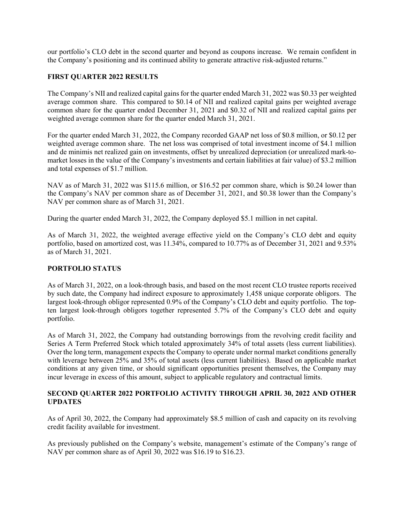our portfolio's CLO debt in the second quarter and beyond as coupons increase. We remain confident in the Company's positioning and its continued ability to generate attractive risk-adjusted returns."

## **FIRST QUARTER 2022 RESULTS**

The Company's NII and realized capital gains for the quarter ended March 31, 2022 was \$0.33 per weighted average common share. This compared to \$0.14 of NII and realized capital gains per weighted average common share for the quarter ended December 31, 2021 and \$0.32 of NII and realized capital gains per weighted average common share for the quarter ended March 31, 2021.

For the quarter ended March 31, 2022, the Company recorded GAAP net loss of \$0.8 million, or \$0.12 per weighted average common share. The net loss was comprised of total investment income of \$4.1 million and de minimis net realized gain on investments, offset by unrealized depreciation (or unrealized mark-tomarket losses in the value of the Company's investments and certain liabilities at fair value) of \$3.2 million and total expenses of \$1.7 million.

NAV as of March 31, 2022 was \$115.6 million, or \$16.52 per common share, which is \$0.24 lower than the Company's NAV per common share as of December 31, 2021, and \$0.38 lower than the Company's NAV per common share as of March 31, 2021.

During the quarter ended March 31, 2022, the Company deployed \$5.1 million in net capital.

As of March 31, 2022, the weighted average effective yield on the Company's CLO debt and equity portfolio, based on amortized cost, was 11.34%, compared to 10.77% as of December 31, 2021 and 9.53% as of March 31, 2021.

## **PORTFOLIO STATUS**

As of March 31, 2022, on a look-through basis, and based on the most recent CLO trustee reports received by such date, the Company had indirect exposure to approximately 1,458 unique corporate obligors. The largest look-through obligor represented 0.9% of the Company's CLO debt and equity portfolio. The topten largest look-through obligors together represented 5.7% of the Company's CLO debt and equity portfolio.

As of March 31, 2022, the Company had outstanding borrowings from the revolving credit facility and Series A Term Preferred Stock which totaled approximately 34% of total assets (less current liabilities). Over the long term, management expects the Company to operate under normal market conditions generally with leverage between 25% and 35% of total assets (less current liabilities). Based on applicable market conditions at any given time, or should significant opportunities present themselves, the Company may incur leverage in excess of this amount, subject to applicable regulatory and contractual limits.

### **SECOND QUARTER 2022 PORTFOLIO ACTIVITY THROUGH APRIL 30, 2022 AND OTHER UPDATES**

As of April 30, 2022, the Company had approximately \$8.5 million of cash and capacity on its revolving credit facility available for investment.

As previously published on the Company's website, management's estimate of the Company's range of NAV per common share as of April 30, 2022 was \$16.19 to \$16.23.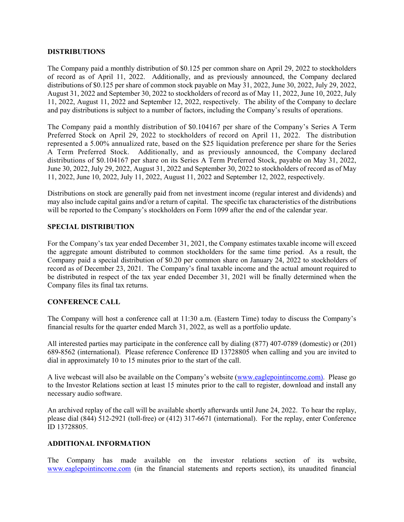#### **DISTRIBUTIONS**

The Company paid a monthly distribution of \$0.125 per common share on April 29, 2022 to stockholders of record as of April 11, 2022. Additionally, and as previously announced, the Company declared distributions of \$0.125 per share of common stock payable on May 31, 2022, June 30, 2022, July 29, 2022, August 31, 2022 and September 30, 2022 to stockholders of record as of May 11, 2022, June 10, 2022, July 11, 2022, August 11, 2022 and September 12, 2022, respectively. The ability of the Company to declare and pay distributions is subject to a number of factors, including the Company's results of operations.

The Company paid a monthly distribution of \$0.104167 per share of the Company's Series A Term Preferred Stock on April 29, 2022 to stockholders of record on April 11, 2022. The distribution represented a 5.00% annualized rate, based on the \$25 liquidation preference per share for the Series A Term Preferred Stock. Additionally, and as previously announced, the Company declared distributions of \$0.104167 per share on its Series A Term Preferred Stock, payable on May 31, 2022, June 30, 2022, July 29, 2022, August 31, 2022 and September 30, 2022 to stockholders of record as of May 11, 2022, June 10, 2022, July 11, 2022, August 11, 2022 and September 12, 2022, respectively.

Distributions on stock are generally paid from net investment income (regular interest and dividends) and may also include capital gains and/or a return of capital. The specific tax characteristics of the distributions will be reported to the Company's stockholders on Form 1099 after the end of the calendar year.

### **SPECIAL DISTRIBUTION**

For the Company's tax year ended December 31, 2021, the Company estimates taxable income will exceed the aggregate amount distributed to common stockholders for the same time period. As a result, the Company paid a special distribution of \$0.20 per common share on January 24, 2022 to stockholders of record as of December 23, 2021. The Company's final taxable income and the actual amount required to be distributed in respect of the tax year ended December 31, 2021 will be finally determined when the Company files its final tax returns.

### **CONFERENCE CALL**

The Company will host a conference call at 11:30 a.m. (Eastern Time) today to discuss the Company's financial results for the quarter ended March 31, 2022, as well as a portfolio update.

All interested parties may participate in the conference call by dialing (877) 407-0789 (domestic) or (201) 689-8562 (international). Please reference Conference ID 13728805 when calling and you are invited to dial in approximately 10 to 15 minutes prior to the start of the call.

A live webcast will also be available on the Company's website [\(www.eaglepointincome.com\)](http://www.eaglepointincome.com/). Please go to the Investor Relations section at least 15 minutes prior to the call to register, download and install any necessary audio software.

An archived replay of the call will be available shortly afterwards until June 24, 2022. To hear the replay, please dial (844) 512-2921 (toll-free) or (412) 317-6671 (international). For the replay, enter Conference ID 13728805.

### **ADDITIONAL INFORMATION**

The Company has made available on the investor relations section of its website, [www.eaglepointincome.com](http://www.eaglepointincome.com/) (in the financial statements and reports section), its unaudited financial